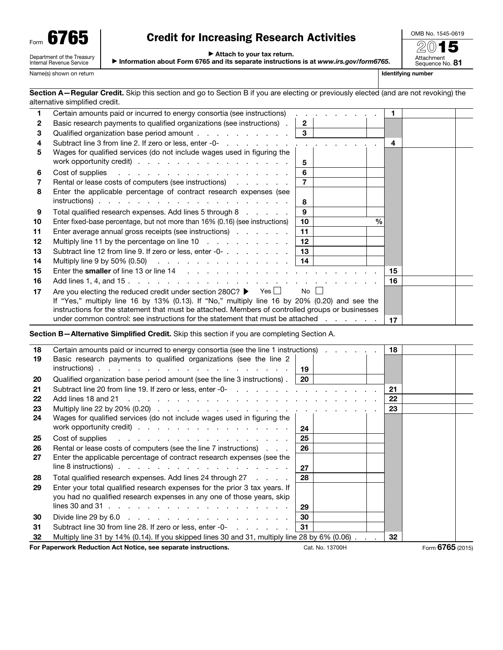| Form |                                                        |
|------|--------------------------------------------------------|
|      | Department of the Treasury<br>Internal Revenue Service |

## Credit for Increasing Research Activities

OMB No. 1545-0619 2015

Attachment<br>Sequence No. **81** 

▶ Attach to your tax return.

▶ Information about Form 6765 and its separate instructions is at *www.irs.gov/form6765*.

Name(s) shown on return **Identifying number Identifying number Identifying number** 

| Section A-Regular Credit. Skip this section and go to Section B if you are electing or previously elected (and are not revoking) the |  |  |  |
|--------------------------------------------------------------------------------------------------------------------------------------|--|--|--|
| alternative simplified credit.                                                                                                       |  |  |  |

| 1  | Certain amounts paid or incurred to energy consortia (see instructions)                                                                                                                                                        |                 | . |               |      |  |
|----|--------------------------------------------------------------------------------------------------------------------------------------------------------------------------------------------------------------------------------|-----------------|---|---------------|------|--|
| 2  | Basic research payments to qualified organizations (see instructions).                                                                                                                                                         | $\overline{2}$  |   |               |      |  |
| 3  | Qualified organization base period amount                                                                                                                                                                                      | $\mathbf{3}$    |   |               |      |  |
| 4  |                                                                                                                                                                                                                                |                 |   |               | 4    |  |
| 5  | Wages for qualified services (do not include wages used in figuring the<br>work opportunity credit)                                                                                                                            | 5               |   |               |      |  |
| 6  | Cost of supplies research and research and research in the set of the set of the set of the set of the set of the set of the set of the set of the set of the set of the set of the set of the set of the set of the set of th | 6               |   |               |      |  |
|    | Rental or lease costs of computers (see instructions)                                                                                                                                                                          | $\overline{7}$  |   |               |      |  |
| 8  | Enter the applicable percentage of contract research expenses (see                                                                                                                                                             |                 |   |               |      |  |
|    |                                                                                                                                                                                                                                | 8               |   |               |      |  |
| 9  | Total qualified research expenses. Add lines 5 through 8                                                                                                                                                                       | 9               |   |               |      |  |
| 10 | Enter fixed-base percentage, but not more than 16% (0.16) (see instructions)                                                                                                                                                   | 10              |   | $\frac{0}{0}$ |      |  |
| 11 | Enter average annual gross receipts (see instructions)                                                                                                                                                                         | 11              |   |               |      |  |
| 12 | Multiply line 11 by the percentage on line 10                                                                                                                                                                                  | 12 <sup>2</sup> |   |               |      |  |
| 13 | Subtract line 12 from line 9. If zero or less, enter -0-                                                                                                                                                                       | 13              |   |               |      |  |
| 14 | Multiply line 9 by 50% (0.50) $\ldots$ $\ldots$ $\ldots$ $\ldots$ $\ldots$ $\ldots$   14                                                                                                                                       |                 |   |               |      |  |
| 15 |                                                                                                                                                                                                                                |                 |   |               | 15   |  |
| 16 |                                                                                                                                                                                                                                |                 |   |               | ∣ 16 |  |
| 17 | Are you electing the reduced credit under section 280C? $\blacktriangleright$ Yes $\sqcup$                                                                                                                                     | No II           |   |               |      |  |
|    | If "Yes," multiply line 16 by 13% (0.13). If "No," multiply line 16 by 20% (0.20) and see the                                                                                                                                  |                 |   |               |      |  |
|    | instructions for the statement that must be attached. Members of controlled groups or businesses                                                                                                                               |                 |   |               |      |  |
|    | under common control: see instructions for the statement that must be attached                                                                                                                                                 |                 |   |               | 17   |  |

Section B—Alternative Simplified Credit. Skip this section if you are completing Section A.

| 18 | Certain amounts paid or incurred to energy consortia (see the line 1 instructions)                                                                                                                                            |           |                 | 18     |                  |  |
|----|-------------------------------------------------------------------------------------------------------------------------------------------------------------------------------------------------------------------------------|-----------|-----------------|--------|------------------|--|
| 19 | Basic research payments to qualified organizations (see the line 2                                                                                                                                                            |           |                 |        |                  |  |
|    |                                                                                                                                                                                                                               | ∣ 19      |                 |        |                  |  |
| 20 | Qualified organization base period amount (see the line 3 instructions).                                                                                                                                                      | <b>20</b> |                 |        |                  |  |
| 21 |                                                                                                                                                                                                                               |           |                 | 21     |                  |  |
| 22 |                                                                                                                                                                                                                               |           |                 | 22     |                  |  |
| 23 |                                                                                                                                                                                                                               |           |                 | 23     |                  |  |
| 24 | Wages for qualified services (do not include wages used in figuring the                                                                                                                                                       |           |                 |        |                  |  |
|    | work opportunity credit)                                                                                                                                                                                                      | 24        |                 |        |                  |  |
| 25 | Cost of supplies research resolution and response in the set of the set of the set of the set of the set of the set of the set of the set of the set of the set of the set of the set of the set of the set of the set of the | 25        |                 |        |                  |  |
| 26 | Rental or lease costs of computers (see the line 7 instructions)                                                                                                                                                              | 26        |                 |        |                  |  |
| 27 | Enter the applicable percentage of contract research expenses (see the                                                                                                                                                        |           |                 |        |                  |  |
|    | line 8 instructions) $\ldots$ $\ldots$ $\ldots$ $\ldots$ $\ldots$ $\ldots$ $\ldots$ $\ldots$                                                                                                                                  | 27        |                 |        |                  |  |
| 28 | Total qualified research expenses. Add lines 24 through 27 [11] .                                                                                                                                                             | 28        |                 |        |                  |  |
| 29 | Enter your total qualified research expenses for the prior 3 tax years. If                                                                                                                                                    |           |                 |        |                  |  |
|    | you had no qualified research expenses in any one of those years, skip                                                                                                                                                        |           |                 |        |                  |  |
|    | lines 30 and 31 $\ldots$ $\ldots$ $\ldots$ $\ldots$ $\ldots$ $\ldots$ $\ldots$ $\ldots$ $\ldots$                                                                                                                              | 29        |                 |        |                  |  |
| 30 | Divide line 29 by 6.0 $\ldots$ $\ldots$ $\ldots$ $\ldots$ $\ldots$ $\ldots$ $\ldots$ $\ldots$                                                                                                                                 | 30        |                 |        |                  |  |
| 31 | Subtract line 30 from line 28. If zero or less, enter -0-                                                                                                                                                                     | 31        |                 |        |                  |  |
| 32 | Multiply line 31 by 14% (0.14). If you skipped lines 30 and 31, multiply line 28 by 6% (0.06)                                                                                                                                 |           |                 | $32\,$ |                  |  |
|    | For Paperwork Reduction Act Notice, see separate instructions.                                                                                                                                                                |           | Cat. No. 13700H |        | Form 6765 (2015) |  |